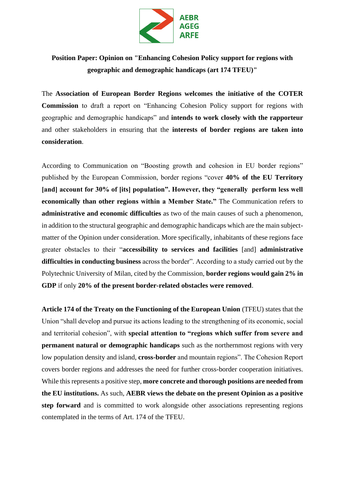

**Position Paper: Opinion on "Enhancing Cohesion Policy support for regions with geographic and demographic handicaps (art 174 TFEU)"** 

The **Association of European Border Regions welcomes the initiative of the COTER Commission** to draft a report on "Enhancing Cohesion Policy support for regions with geographic and demographic handicaps" and **intends to work closely with the rapporteur** and other stakeholders in ensuring that the **interests of border regions are taken into consideration**.

According to Communication on "Boosting growth and cohesion in EU border regions" published by the European Commission, border regions "cover **40% of the EU Territory [and] account for 30% of [its] population". However, they "generally perform less well economically than other regions within a Member State."** The Communication refers to **administrative and economic difficulties** as two of the main causes of such a phenomenon, in addition to the structural geographic and demographic handicaps which are the main subjectmatter of the Opinion under consideration. More specifically, inhabitants of these regions face greater obstacles to their "**accessibility to services and facilities** [and] **administrative difficulties in conducting business** across the border". According to a study carried out by the Polytechnic University of Milan, cited by the Commission, **border regions would gain 2% in GDP** if only **20% of the present border-related obstacles were removed**.

**Article 174 of the Treaty on the Functioning of the European Union** (TFEU) states that the Union "shall develop and pursue its actions leading to the strengthening of its economic, social and territorial cohesion", with **special attention to "regions which suffer from severe and permanent natural or demographic handicaps** such as the northernmost regions with very low population density and island, **cross-border** and mountain regions". The Cohesion Report covers border regions and addresses the need for further cross-border cooperation initiatives. While this represents a positive step, **more concrete and thorough positions are needed from the EU institutions.** As such, **AEBR views the debate on the present Opinion as a positive step forward** and is committed to work alongside other associations representing regions contemplated in the terms of Art. 174 of the TFEU.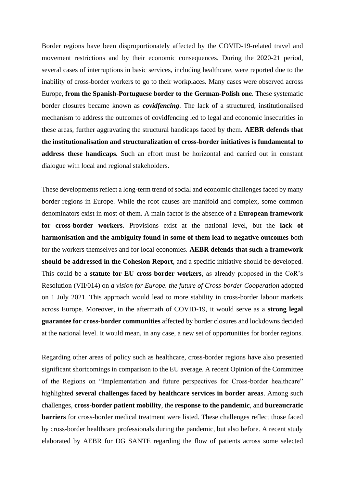Border regions have been disproportionately affected by the COVID-19-related travel and movement restrictions and by their economic consequences. During the 2020-21 period, several cases of interruptions in basic services, including healthcare, were reported due to the inability of cross-border workers to go to their workplaces. Many cases were observed across Europe, **from the Spanish-Portuguese border to the German-Polish one**. These systematic border closures became known as *covidfencing*. The lack of a structured, institutionalised mechanism to address the outcomes of covidfencing led to legal and economic insecurities in these areas, further aggravating the structural handicaps faced by them. **AEBR defends that the institutionalisation and structuralization of cross-border initiatives is fundamental to address these handicaps.** Such an effort must be horizontal and carried out in constant dialogue with local and regional stakeholders.

These developments reflect a long-term trend of social and economic challenges faced by many border regions in Europe. While the root causes are manifold and complex, some common denominators exist in most of them. A main factor is the absence of a **European framework for cross-border workers**. Provisions exist at the national level, but the **lack of harmonisation and the ambiguity found in some of them lead to negative outcomes** both for the workers themselves and for local economies. **AEBR defends that such a framework should be addressed in the Cohesion Report**, and a specific initiative should be developed. This could be a **statute for EU cross-border workers**, as already proposed in the CoR's Resolution (VII/014) on *a vision for Europe. the future of Cross-border Cooperation* adopted on 1 July 2021. This approach would lead to more stability in cross-border labour markets across Europe. Moreover, in the aftermath of COVID-19, it would serve as a **strong legal guarantee for cross-border communities** affected by border closures and lockdowns decided at the national level. It would mean, in any case, a new set of opportunities for border regions.

Regarding other areas of policy such as healthcare, cross-border regions have also presented significant shortcomings in comparison to the EU average. A recent Opinion of the Committee of the Regions on "Implementation and future perspectives for Cross-border healthcare" highlighted **several challenges faced by healthcare services in border areas**. Among such challenges, **cross-border patient mobility**, the **response to the pandemic**, and **bureaucratic barriers** for cross-border medical treatment were listed. These challenges reflect those faced by cross-border healthcare professionals during the pandemic, but also before. A recent study elaborated by AEBR for DG SANTE regarding the flow of patients across some selected